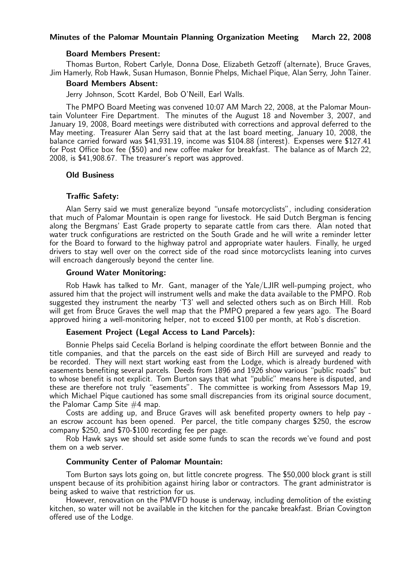# Minutes of the Palomar Mountain Planning Organization Meeting March 22, 2008

## Board Members Present:

Thomas Burton, Robert Carlyle, Donna Dose, Elizabeth Getzoff (alternate), Bruce Graves, Jim Hamerly, Rob Hawk, Susan Humason, Bonnie Phelps, Michael Pique, Alan Serry, John Tainer.

## Board Members Absent:

Jerry Johnson, Scott Kardel, Bob O'Neill, Earl Walls.

The PMPO Board Meeting was convened 10:07 AM March 22, 2008, at the Palomar Mountain Volunteer Fire Department. The minutes of the August 18 and November 3, 2007, and January 19, 2008, Board meetings were distributed with corrections and approval deferred to the May meeting. Treasurer Alan Serry said that at the last board meeting, January 10, 2008, the balance carried forward was \$41,931.19, income was \$104.88 (interest). Expenses were \$127.41 for Post Office box fee (\$50) and new coffee maker for breakfast. The balance as of March 22, 2008, is \$41,908.67. The treasurer's report was approved.

## Old Business

### Traffic Safety:

Alan Serry said we must generalize beyond "unsafe motorcyclists", including consideration that much of Palomar Mountain is open range for livestock. He said Dutch Bergman is fencing along the Bergmans' East Grade property to separate cattle from cars there. Alan noted that water truck configurations are restricted on the South Grade and he will write a reminder letter for the Board to forward to the highway patrol and appropriate water haulers. Finally, he urged drivers to stay well over on the correct side of the road since motorcyclists leaning into curves will encroach dangerously beyond the center line.

## Ground Water Monitoring:

Rob Hawk has talked to Mr. Gant, manager of the Yale/LJIR well-pumping project, who assured him that the project will instrument wells and make the data available to the PMPO. Rob suggested they instrument the nearby 'T3' well and selected others such as on Birch Hill. Rob will get from Bruce Graves the well map that the PMPO prepared a few years ago. The Board approved hiring a well-monitoring helper, not to exceed \$100 per month, at Rob's discretion.

# Easement Project (Legal Access to Land Parcels):

Bonnie Phelps said Cecelia Borland is helping coordinate the effort between Bonnie and the title companies, and that the parcels on the east side of Birch Hill are surveyed and ready to be recorded. They will next start working east from the Lodge, which is already burdened with easements benefiting several parcels. Deeds from 1896 and 1926 show various "public roads" but to whose benefit is not explicit. Tom Burton says that what "public" means here is disputed, and these are therefore not truly "easements". The committee is working from Assessors Map 19, which Michael Pique cautioned has some small discrepancies from its original source document, the Palomar Camp Site  $#4$  map.

Costs are adding up, and Bruce Graves will ask benefited property owners to help pay an escrow account has been opened. Per parcel, the title company charges \$250, the escrow company \$250, and \$70-\$100 recording fee per page.

Rob Hawk says we should set aside some funds to scan the records we've found and post them on a web server.

## Community Center of Palomar Mountain:

Tom Burton says lots going on, but little concrete progress. The \$50,000 block grant is still unspent because of its prohibition against hiring labor or contractors. The grant administrator is being asked to waive that restriction for us.

However, renovation on the PMVFD house is underway, including demolition of the existing kitchen, so water will not be available in the kitchen for the pancake breakfast. Brian Covington offered use of the Lodge.